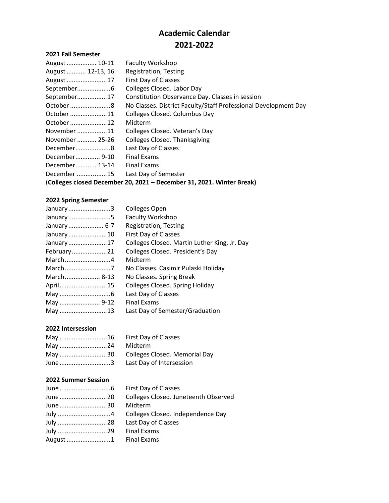# **Academic Calendar 2021-2022**

### **2021 Fall Semester**

| August  10-11                                                         | <b>Faculty Workshop</b>                                         |
|-----------------------------------------------------------------------|-----------------------------------------------------------------|
| August  12-13, 16                                                     | Registration, Testing                                           |
| August 17                                                             | First Day of Classes                                            |
|                                                                       | Colleges Closed. Labor Day                                      |
| September17                                                           | Constitution Observance Day. Classes in session                 |
| October 8                                                             | No Classes. District Faculty/Staff Professional Development Day |
| October 11                                                            | Colleges Closed. Columbus Day                                   |
| October 12                                                            | Midterm                                                         |
| November 11                                                           | Colleges Closed. Veteran's Day                                  |
| November  25-26                                                       | <b>Colleges Closed. Thanksgiving</b>                            |
| December8                                                             | Last Day of Classes                                             |
| December 9-10                                                         | <b>Final Exams</b>                                              |
| December 13-14                                                        | <b>Final Exams</b>                                              |
| December 15                                                           | Last Day of Semester                                            |
| (Colleges closed December 20, 2021 – December 31, 2021. Winter Break) |                                                                 |

#### **2022 Spring Semester**

| January3    | Colleges Open                                |
|-------------|----------------------------------------------|
| January5    | Faculty Workshop                             |
| January 6-7 | Registration, Testing                        |
| January10   | First Day of Classes                         |
| January17   | Colleges Closed. Martin Luther King, Jr. Day |
| February21  | Colleges Closed. President's Day             |
| March4      | Midterm                                      |
|             | No Classes. Casimir Pulaski Holiday          |
| March 8-13  | No Classes. Spring Break                     |
| April15     | <b>Colleges Closed. Spring Holiday</b>       |
|             | Last Day of Classes                          |
| May  9-12   | <b>Final Exams</b>                           |
| May 13      | Last Day of Semester/Graduation              |

## **2022 Intersession**

| May 30 Colleges Closed. Memorial Day |
|--------------------------------------|
|                                      |

# **2022 Summer Session**

|          | H          |
|----------|------------|
| June 20  | $\epsilon$ |
| June 30  | ٨          |
| July 4   | $\epsilon$ |
| July 28  | L          |
| July 29  | Ē          |
| August 1 | F          |

First Day of Classes Colleges Closed. Juneteenth Observed Midterm Colleges Closed. Independence Day ast Day of Classes inal Exams inal Exams